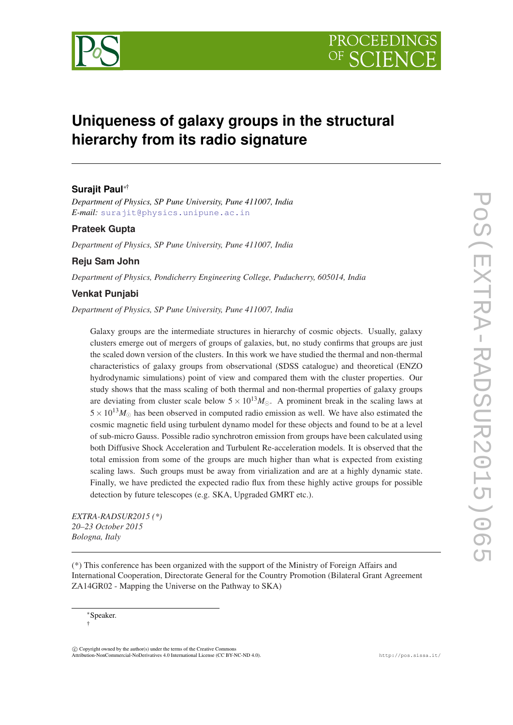



# **Uniqueness of galaxy groups in the structural hierarchy from its radio signature**

# **Surajit Paul**∗†

*Department of Physics, SP Pune University, Pune 411007, India E-mail:* [surajit@physics.unipune.ac.in](mailto:surajit@physics.unipune.ac.in)

# **Prateek Gupta**

*Department of Physics, SP Pune University, Pune 411007, India*

## **Reju Sam John**

*Department of Physics, Pondicherry Engineering College, Puducherry, 605014, India*

## **Venkat Punjabi**

*Department of Physics, SP Pune University, Pune 411007, India*

Galaxy groups are the intermediate structures in hierarchy of cosmic objects. Usually, galaxy clusters emerge out of mergers of groups of galaxies, but, no study confirms that groups are just the scaled down version of the clusters. In this work we have studied the thermal and non-thermal characteristics of galaxy groups from observational (SDSS catalogue) and theoretical (ENZO hydrodynamic simulations) point of view and compared them with the cluster properties. Our study shows that the mass scaling of both thermal and non-thermal properties of galaxy groups are deviating from cluster scale below  $5 \times 10^{13} M_{\odot}$ . A prominent break in the scaling laws at  $5 \times 10^{13} M_{\odot}$  has been observed in computed radio emission as well. We have also estimated the cosmic magnetic field using turbulent dynamo model for these objects and found to be at a level of sub-micro Gauss. Possible radio synchrotron emission from groups have been calculated using both Diffusive Shock Acceleration and Turbulent Re-acceleration models. It is observed that the total emission from some of the groups are much higher than what is expected from existing scaling laws. Such groups must be away from virialization and are at a highly dynamic state. Finally, we have predicted the expected radio flux from these highly active groups for possible detection by future telescopes (e.g. SKA, Upgraded GMRT etc.).

*EXTRA-RADSUR2015 (\*) 20–23 October 2015 Bologna, Italy*

(\*) This conference has been organized with the support of the Ministry of Foreign Affairs and International Cooperation, Directorate General for the Country Promotion (Bilateral Grant Agreement ZA14GR02 - Mapping the Universe on the Pathway to SKA)

 $(C)$  Copyright owned by the author(s) under the terms of the Creative Common Attribution-NonCommercial-NoDerivatives 4.0 International License (CC BY-NC-ND 4.0). http://pos.sissa.it/

<sup>∗</sup>Speaker. †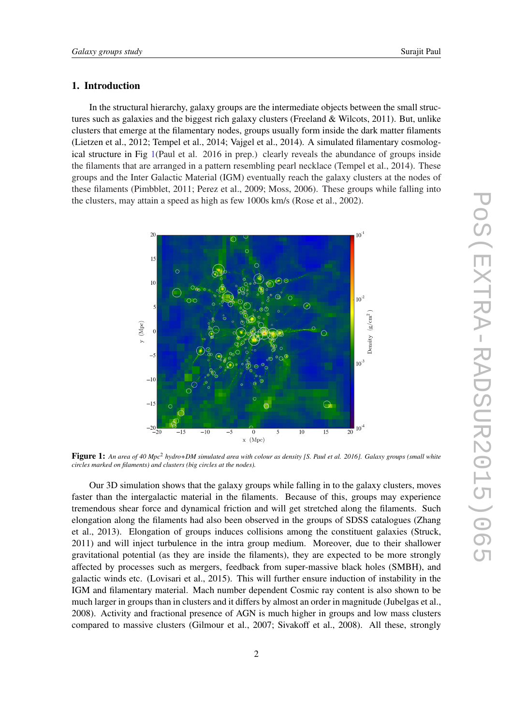# 1. Introduction

In the structural hierarchy, galaxy groups are the intermediate objects between the small structures such as galaxies and the biggest rich galaxy clusters (Freeland & Wilcots, 2011). But, unlike clusters that emerge at the filamentary nodes, groups usually form inside the dark matter filaments (Lietzen et al., 2012; Tempel et al., 2014; Vajgel et al., 2014). A simulated filamentary cosmological structure in Fig 1(Paul et al. 2016 in prep.) clearly reveals the abundance of groups inside the filaments that are arranged in a pattern resembling pearl necklace (Tempel et al., 2014). These groups and the Inter Galactic Material (IGM) eventually reach the galaxy clusters at the nodes of these filaments (Pimbblet, 2011; Perez et al., 2009; Moss, 2006). These groups while falling into the clusters, may attain a speed as high as few 1000s km/s (Rose et al., 2002).



Figure 1: An area of 40 Mpc<sup>2</sup> hydro+DM simulated area with colour as density [S. Paul et al. 2016]. Galaxy groups (small white *circles marked on filaments) and clusters (big circles at the nodes).*

Our 3D simulation shows that the galaxy groups while falling in to the galaxy clusters, moves faster than the intergalactic material in the filaments. Because of this, groups may experience tremendous shear force and dynamical friction and will get stretched along the filaments. Such elongation along the filaments had also been observed in the groups of SDSS catalogues (Zhang et al., 2013). Elongation of groups induces collisions among the constituent galaxies (Struck, 2011) and will inject turbulence in the intra group medium. Moreover, due to their shallower gravitational potential (as they are inside the filaments), they are expected to be more strongly affected by processes such as mergers, feedback from super-massive black holes (SMBH), and galactic winds etc. (Lovisari et al., 2015). This will further ensure induction of instability in the IGM and filamentary material. Mach number dependent Cosmic ray content is also shown to be much larger in groups than in clusters and it differs by almost an order in magnitude (Jubelgas et al., 2008). Activity and fractional presence of AGN is much higher in groups and low mass clusters compared to massive clusters (Gilmour et al., 2007; Sivakoff et al., 2008). All these, strongly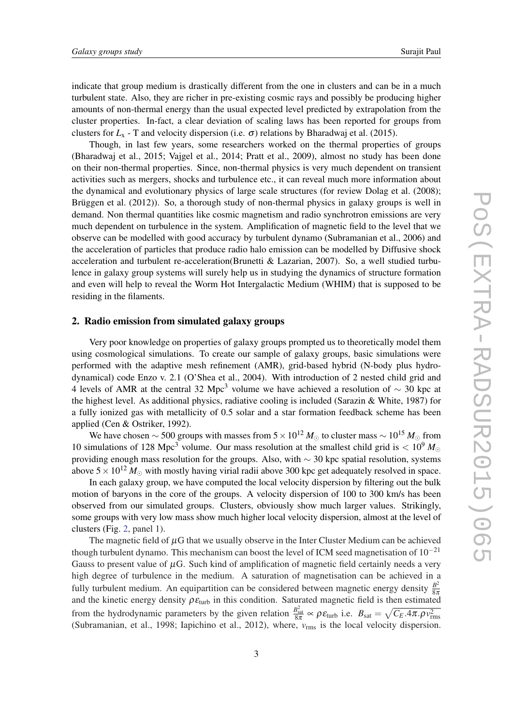<span id="page-2-0"></span>indicate that group medium is drastically different from the one in clusters and can be in a much turbulent state. Also, they are richer in pre-existing cosmic rays and possibly be producing higher amounts of non-thermal energy than the usual expected level predicted by extrapolation from the cluster properties. In-fact, a clear deviation of scaling laws has been reported for groups from clusters for  $L_x$  - T and velocity dispersion (i.e.  $\sigma$ ) relations by Bharadwaj et al. (2015).

Though, in last few years, some researchers worked on the thermal properties of groups (Bharadwaj et al., 2015; Vajgel et al., 2014; Pratt et al., 2009), almost no study has been done on their non-thermal properties. Since, non-thermal physics is very much dependent on transient activities such as mergers, shocks and turbulence etc., it can reveal much more information about the dynamical and evolutionary physics of large scale structures (for review Dolag et al. (2008); Brüggen et al. (2012)). So, a thorough study of non-thermal physics in galaxy groups is well in demand. Non thermal quantities like cosmic magnetism and radio synchrotron emissions are very much dependent on turbulence in the system. Amplification of magnetic field to the level that we observe can be modelled with good accuracy by turbulent dynamo (Subramanian et al., 2006) and the acceleration of particles that produce radio halo emission can be modelled by Diffusive shock acceleration and turbulent re-acceleration(Brunetti & Lazarian, 2007). So, a well studied turbulence in galaxy group systems will surely help us in studying the dynamics of structure formation and even will help to reveal the Worm Hot Intergalactic Medium (WHIM) that is supposed to be residing in the filaments.

#### 2. Radio emission from simulated galaxy groups

Very poor knowledge on properties of galaxy groups prompted us to theoretically model them using cosmological simulations. To create our sample of galaxy groups, basic simulations were performed with the adaptive mesh refinement (AMR), grid-based hybrid (N-body plus hydrodynamical) code Enzo v. 2.1 (O'Shea et al., 2004). With introduction of 2 nested child grid and 4 levels of AMR at the central 32 Mpc<sup>3</sup> volume we have achieved a resolution of  $\sim$  30 kpc at the highest level. As additional physics, radiative cooling is included (Sarazin & White, 1987) for a fully ionized gas with metallicity of 0.5 solar and a star formation feedback scheme has been applied (Cen & Ostriker, 1992).

We have chosen  $\sim$  500 groups with masses from 5 × 10<sup>12</sup>  $M_{\odot}$  to cluster mass  $\sim$  10<sup>15</sup>  $M_{\odot}$  from 10 simulations of 128 Mpc<sup>3</sup> volume. Our mass resolution at the smallest child grid is  $< 10<sup>9</sup> M<sub>\odot</sub>$ providing enough mass resolution for the groups. Also, with ∼ 30 kpc spatial resolution, systems above  $5 \times 10^{12}$  *M*<sub> $\odot$ </sub> with mostly having virial radii above 300 kpc get adequately resolved in space.

In each galaxy group, we have computed the local velocity dispersion by filtering out the bulk motion of baryons in the core of the groups. A velocity dispersion of 100 to 300 km/s has been observed from our simulated groups. Clusters, obviously show much larger values. Strikingly, some groups with very low mass show much higher local velocity dispersion, almost at the level of clusters (Fig. [2](#page-3-0), panel 1).

The magnetic field of  $\mu$ G that we usually observe in the Inter Cluster Medium can be achieved though turbulent dynamo. This mechanism can boost the level of ICM seed magnetisation of  $10^{-21}$ Gauss to present value of  $\mu$ G. Such kind of amplification of magnetic field certainly needs a very high degree of turbulence in the medium. A saturation of magnetisation can be achieved in a fully turbulent medium. An equipartition can be considered between magnetic energy density  $\frac{B^2}{8\pi}$ 8π and the kinetic energy density  $\rho \varepsilon_{\text{turb}}$  in this condition. Saturated magnetic field is then estimated from the hydrodynamic parameters by the given relation  $\frac{B_{\text{sat}}^2}{8\pi} \propto \rho \varepsilon_{\text{turb}}$  i.e.  $B_{\text{sat}} = \sqrt{C_E .4\pi . \rho v_{\text{rms}}^2}$ (Subramanian, et al., 1998; Iapichino et al., 2012), where, *v*rms is the local velocity dispersion.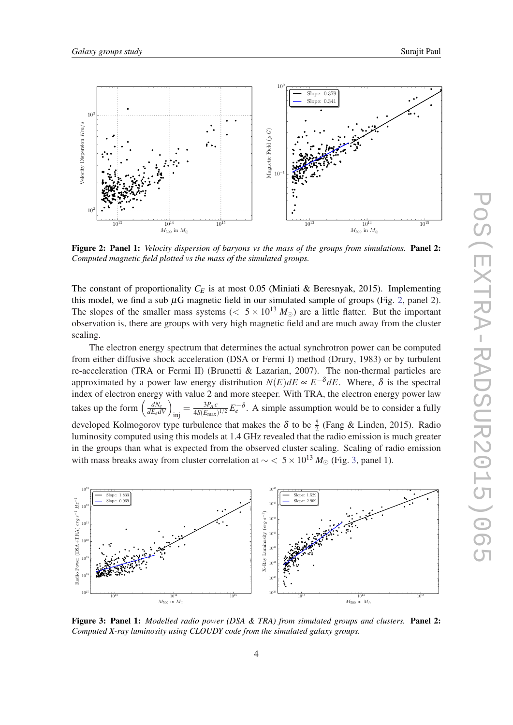<span id="page-3-0"></span>

Figure 2: Panel 1: *Velocity dispersion of baryons vs the mass of the groups from simulations.* Panel 2: *Computed magnetic field plotted vs the mass of the simulated groups.*

The constant of proportionality  $C_E$  is at most 0.05 (Miniati & Beresnyak, 2015). Implementing this model, we find a sub  $\mu$ G magnetic field in our simulated sample of groups (Fig. 2, panel 2). The slopes of the smaller mass systems ( $\lt 5 \times 10^{13} M_{\odot}$ ) are a little flatter. But the important observation is, there are groups with very high magnetic field and are much away from the cluster scaling.

The electron energy spectrum that determines the actual synchrotron power can be computed from either diffusive shock acceleration (DSA or Fermi I) method (Drury, 1983) or by turbulent re-acceleration (TRA or Fermi II) (Brunetti & Lazarian, 2007). The non-thermal particles are approximated by a power law energy distribution  $N(E)dE \propto E^{-\delta}dE$ . Where,  $\delta$  is the spectral index of electron energy with value 2 and more steeper. With TRA, the electron energy power law takes up the form  $\left(\frac{dN_e}{dE_e dV}\right)_{\text{inj}} = \frac{3P_A c}{4S(E_{\text{max}})}$  $\frac{3P_A c}{4S(E_{\text{max}})^{1/2}} E_e^{-\delta}$ . A simple assumption would be to consider a fully developed Kolmogorov type turbulence that makes the  $\delta$  to be  $\frac{5}{2}$  (Fang & Linden, 2015). Radio luminosity computed using this models at 1.4 GHz revealed that the radio emission is much greater in the groups than what is expected from the observed cluster scaling. Scaling of radio emission with mass breaks away from cluster correlation at  $\sim$  < 5 × 10<sup>13</sup>  $M_{\odot}$  (Fig. 3, panel 1).



Figure 3: Panel 1: *Modelled radio power (DSA & TRA) from simulated groups and clusters.* Panel 2: *Computed X-ray luminosity using CLOUDY code from the simulated galaxy groups.*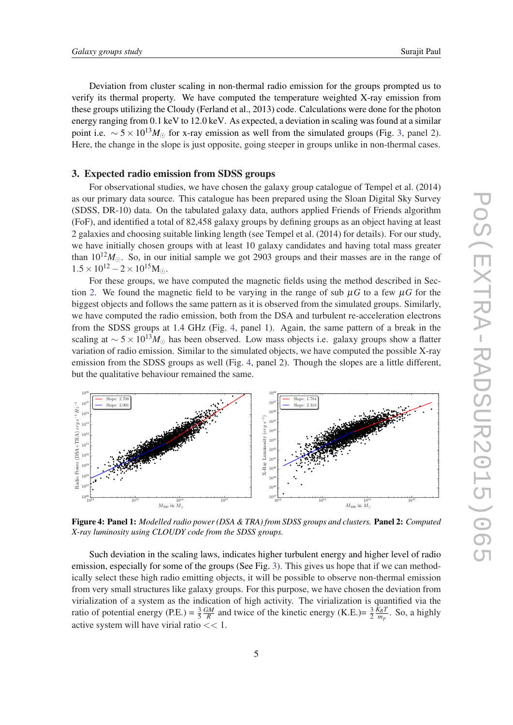<span id="page-4-0"></span>Deviation from cluster scaling in non-thermal radio emission for the groups prompted us to verify its thermal property. We have computed the temperature weighted X-ray emission from these groups utilizing the Cloudy (Ferland et al., 2013) code. Calculations were done for the photon energy ranging from 0.1 keV to 12.0 keV. As expected, a deviation in scaling was found at a similar point i.e.  $\sim 5 \times 10^{13} M_{\odot}$  $\sim 5 \times 10^{13} M_{\odot}$  $\sim 5 \times 10^{13} M_{\odot}$  for x-ray emission as well from the simulated groups (Fig. 3, panel 2). Here, the change in the slope is just opposite, going steeper in groups unlike in non-thermal cases.

## 3. Expected radio emission from SDSS groups

For observational studies, we have chosen the galaxy group catalogue of Tempel et al. (2014) as our primary data source. This catalogue has been prepared using the Sloan Digital Sky Survey (SDSS, DR-10) data. On the tabulated galaxy data, authors applied Friends of Friends algorithm (FoF), and identified a total of 82,458 galaxy groups by defining groups as an object having at least 2 galaxies and choosing suitable linking length (see Tempel et al. (2014) for details). For our study, we have initially chosen groups with at least 10 galaxy candidates and having total mass greater than  $10^{12}M_{\odot}$ . So, in our initial sample we got 2903 groups and their masses are in the range of  $1.5 \times 10^{12} - 2 \times 10^{15}$ M.

For these groups, we have computed the magnetic fields using the method described in Sec-tion [2.](#page-2-0) We found the magnetic field to be varying in the range of sub  $\mu$ *G* to a few  $\mu$ *G* for the biggest objects and follows the same pattern as it is observed from the simulated groups. Similarly, we have computed the radio emission, both from the DSA and turbulent re-acceleration electrons from the SDSS groups at 1.4 GHz (Fig. 4, panel 1). Again, the same pattern of a break in the scaling at  $\sim$  5 × 10<sup>13</sup> $M_{\odot}$  has been observed. Low mass objects i.e. galaxy groups show a flatter variation of radio emission. Similar to the simulated objects, we have computed the possible X-ray emission from the SDSS groups as well (Fig. 4, panel 2). Though the slopes are a little different, but the qualitative behaviour remained the same.



Figure 4: Panel 1: *Modelled radio power (DSA & TRA) from SDSS groups and clusters.* Panel 2: *Computed X-ray luminosity using CLOUDY code from the SDSS groups.*

Such deviation in the scaling laws, indicates higher turbulent energy and higher level of radio emission, especially for some of the groups (See Fig. [3\)](#page-3-0). This gives us hope that if we can methodically select these high radio emitting objects, it will be possible to observe non-thermal emission from very small structures like galaxy groups. For this purpose, we have chosen the deviation from virialization of a system as the indication of high activity. The virialization is quantified via the ratio of potential energy (P.E.) =  $\frac{3}{5}$ *GM*  $\frac{GM}{R}$  and twice of the kinetic energy (K.E.)=  $\frac{3}{2} \frac{K_B T}{m_p}$  $\frac{x_{B}I}{m_{p}}$ . So, a highly active system will have virial ratio << 1.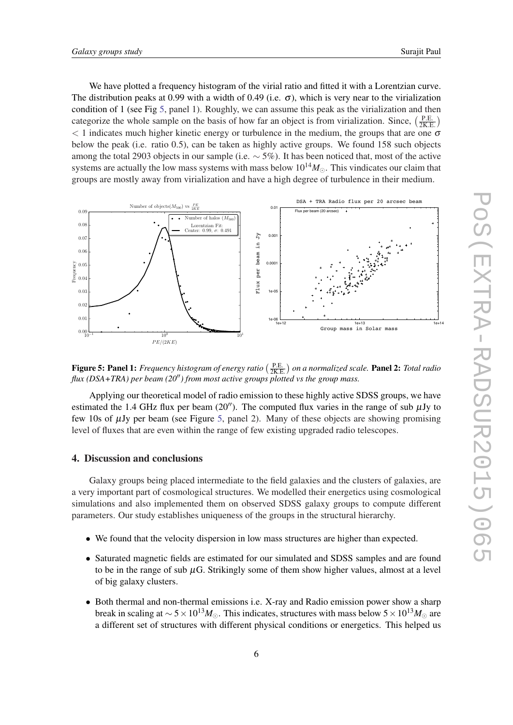We have plotted a frequency histogram of the virial ratio and fitted it with a Lorentzian curve. The distribution peaks at 0.99 with a width of 0.49 (i.e.  $\sigma$ ), which is very near to the virialization condition of 1 (see Fig 5, panel 1). Roughly, we can assume this peak as the virialization and then categorize the whole sample on the basis of how far an object is from virialization. Since,  $\left(\frac{PE}{2KH} \right)$  $\frac{\text{P.E.}}{2\text{K.E.}}$  $<$  1 indicates much higher kinetic energy or turbulence in the medium, the groups that are one  $\sigma$ below the peak (i.e. ratio 0.5), can be taken as highly active groups. We found 158 such objects among the total 2903 objects in our sample (i.e.  $\sim$  5%). It has been noticed that, most of the active systems are actually the low mass systems with mass below  $10^{14}M_{\odot}$ . This vindicates our claim that groups are mostly away from virialization and have a high degree of turbulence in their medium.



Figure 5: Panel 1: *Frequency histogram of energy ratio* ( $\frac{P.E.}{2K.E.}$ ) on a normalized scale. Panel 2: *Total radio flux (DSA+TRA) per beam (20") from most active groups plotted vs the group mass.* 

Applying our theoretical model of radio emission to these highly active SDSS groups, we have estimated the 1.4 GHz flux per beam (20"). The computed flux varies in the range of sub  $\mu$ Jy to few 10s of  $\mu$ Jy per beam (see Figure 5, panel 2). Many of these objects are showing promising level of fluxes that are even within the range of few existing upgraded radio telescopes.

# 4. Discussion and conclusions

Galaxy groups being placed intermediate to the field galaxies and the clusters of galaxies, are a very important part of cosmological structures. We modelled their energetics using cosmological simulations and also implemented them on observed SDSS galaxy groups to compute different parameters. Our study establishes uniqueness of the groups in the structural hierarchy.

- We found that the velocity dispersion in low mass structures are higher than expected.
- Saturated magnetic fields are estimated for our simulated and SDSS samples and are found to be in the range of sub  $\mu$ G. Strikingly some of them show higher values, almost at a level of big galaxy clusters.
- Both thermal and non-thermal emissions i.e. X-ray and Radio emission power show a sharp break in scaling at  $\sim 5 \times 10^{13} M_{\odot}$ . This indicates, structures with mass below  $5 \times 10^{13} M_{\odot}$  are a different set of structures with different physical conditions or energetics. This helped us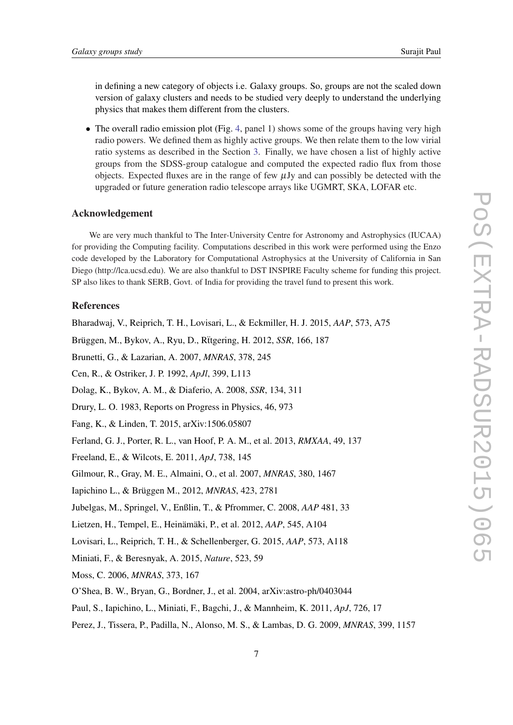in defining a new category of objects i.e. Galaxy groups. So, groups are not the scaled down version of galaxy clusters and needs to be studied very deeply to understand the underlying physics that makes them different from the clusters.

• The overall radio emission plot (Fig. [4,](#page-4-0) panel 1) shows some of the groups having very high radio powers. We defined them as highly active groups. We then relate them to the low virial ratio systems as described in the Section [3.](#page-4-0) Finally, we have chosen a list of highly active groups from the SDSS-group catalogue and computed the expected radio flux from those objects. Expected fluxes are in the range of few  $\mu$ Jy and can possibly be detected with the upgraded or future generation radio telescope arrays like UGMRT, SKA, LOFAR etc.

# Acknowledgement

We are very much thankful to The Inter-University Centre for Astronomy and Astrophysics (IUCAA) for providing the Computing facility. Computations described in this work were performed using the Enzo code developed by the Laboratory for Computational Astrophysics at the University of California in San Diego (http://lca.ucsd.edu). We are also thankful to DST INSPIRE Faculty scheme for funding this project. SP also likes to thank SERB, Govt. of India for providing the travel fund to present this work.

# References

Bharadwaj, V., Reiprich, T. H., Lovisari, L., & Eckmiller, H. J. 2015, *AAP*, 573, A75

Brüggen, M., Bykov, A., Ryu, D., R¨ttgering, H. 2012, *SSR*, 166, 187

Brunetti, G., & Lazarian, A. 2007, *MNRAS*, 378, 245

Cen, R., & Ostriker, J. P. 1992, *ApJl*, 399, L113

Dolag, K., Bykov, A. M., & Diaferio, A. 2008, *SSR*, 134, 311

Drury, L. O. 1983, Reports on Progress in Physics, 46, 973

- Fang, K., & Linden, T. 2015, arXiv:1506.05807
- Ferland, G. J., Porter, R. L., van Hoof, P. A. M., et al. 2013, *RMXAA*, 49, 137
- Freeland, E., & Wilcots, E. 2011, *ApJ*, 738, 145
- Gilmour, R., Gray, M. E., Almaini, O., et al. 2007, *MNRAS*, 380, 1467
- Iapichino L., & Brüggen M., 2012, *MNRAS*, 423, 2781
- Jubelgas, M., Springel, V., Enßlin, T., & Pfrommer, C. 2008, *AAP* 481, 33

Lietzen, H., Tempel, E., Heinämäki, P., et al. 2012, *AAP*, 545, A104

Lovisari, L., Reiprich, T. H., & Schellenberger, G. 2015, *AAP*, 573, A118

- Miniati, F., & Beresnyak, A. 2015, *Nature*, 523, 59
- Moss, C. 2006, *MNRAS*, 373, 167
- O'Shea, B. W., Bryan, G., Bordner, J., et al. 2004, arXiv:astro-ph/0403044
- Paul, S., Iapichino, L., Miniati, F., Bagchi, J., & Mannheim, K. 2011, *ApJ*, 726, 17
- Perez, J., Tissera, P., Padilla, N., Alonso, M. S., & Lambas, D. G. 2009, *MNRAS*, 399, 1157